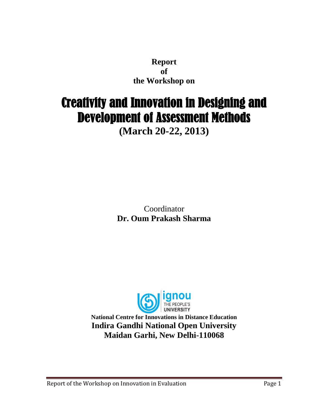**Report of the Workshop on** 

# Creativity and Innovation in Designing and Development of Assessment Methods

**(March 20-22, 2013)**

Coordinator **Dr. Oum Prakash Sharma**



**National Centre for Innovations in Distance Education Indira Gandhi National Open University Maidan Garhi, New Delhi-110068**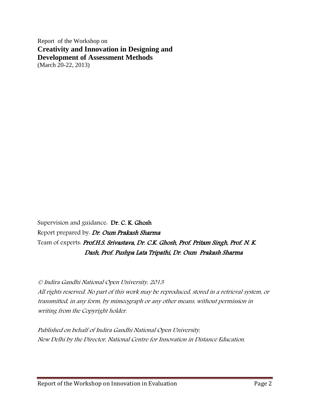Report of the Workshop on **Creativity and Innovation in Designing and Development of Assessment Methods** (March 20-22, 2013)

Supervision and guidance: Dr. C. K. Ghosh Report prepared by. Dr. Oum Prakash Sharma Team of experts: Prof.H.S. Srivastava, Dr. C.K. Ghosh, Prof. Pritam Singh, Prof. N. K. Dash, Prof. Pushpa Lata Tripathi, Dr. Oum Prakash Sharma

© Indira Gandhi National Open University, 2013 All rights reserved. No part of this work may be reproduced, stored in a retrieval system, or transmitted, in any form, by mimeograph or any other means, without permission in writing from the Copyright holder.

Published on behalf of Indira Gandhi National Open University, New Delhi by the Director, National Centre for Innovation in Distance Education.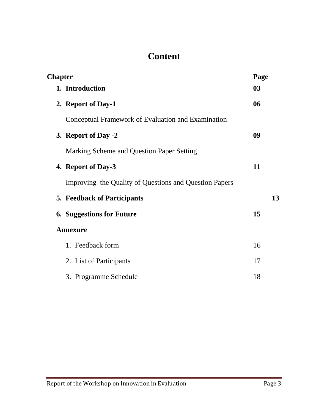### **Content**

| <b>Chapter</b>                                         | Page |
|--------------------------------------------------------|------|
| 1. Introduction                                        | 03   |
| 2. Report of Day-1                                     | 06   |
| Conceptual Framework of Evaluation and Examination     |      |
| 3. Report of Day -2                                    | 09   |
| Marking Scheme and Question Paper Setting              |      |
| 4. Report of Day-3                                     | 11   |
| Improving the Quality of Questions and Question Papers |      |
| <b>5. Feedback of Participants</b>                     | 13   |
| <b>6. Suggestions for Future</b>                       | 15   |
| <b>Annexure</b>                                        |      |
| 1. Feedback form                                       | 16   |
| 2. List of Participants                                | 17   |
| 3. Programme Schedule                                  | 18   |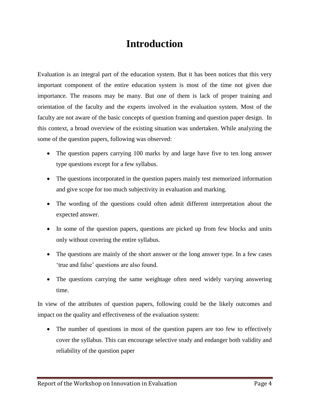### **Introduction**

Evaluation is an integral part of the education system. But it has been notices that this very important component of the entire education system is most of the time not given due importance. The reasons may be many. But one of them is lack of proper training and orientation of the faculty and the experts involved in the evaluation system. Most of the faculty are not aware of the basic concepts of question framing and question paper design. In this context, a broad overview of the existing situation was undertaken. While analyzing the some of the question papers, following was observed:

- The question papers carrying 100 marks by and large have five to ten long answer type questions except for a few syllabus.
- The questions incorporated in the question papers mainly test memorized information and give scope for too much subjectivity in evaluation and marking.
- The wording of the questions could often admit different interpretation about the expected answer.
- In some of the question papers, questions are picked up from few blocks and units only without covering the entire syllabus.
- The questions are mainly of the short answer or the long answer type. In a few cases 'true and false' questions are also found.
- The questions carrying the same weightage often need widely varying answering time.

In view of the attributes of question papers, following could be the likely outcomes and impact on the quality and effectiveness of the evaluation system:

• The number of questions in most of the question papers are too few to effectively cover the syllabus. This can encourage selective study and endanger both validity and reliability of the question paper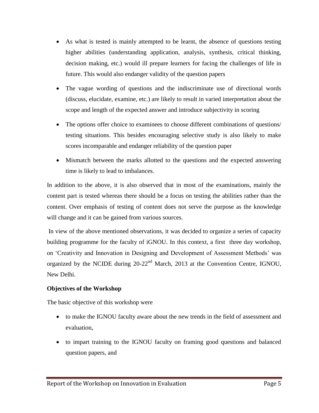- As what is tested is mainly attempted to be learnt, the absence of questions testing higher abilities (understanding application, analysis, synthesis, critical thinking, decision making, etc.) would ill prepare learners for facing the challenges of life in future. This would also endanger validity of the question papers
- The vague wording of questions and the indiscriminate use of directional words (discuss, elucidate, examine, etc.) are likely to result in varied interpretation about the scope and length of the expected answer and introduce subjectivity in scoring
- The options offer choice to examinees to choose different combinations of questions/ testing situations. This besides encouraging selective study is also likely to make scores incomparable and endanger reliability of the question paper
- Mismatch between the marks allotted to the questions and the expected answering time is likely to lead to imbalances.

In addition to the above, it is also observed that in most of the examinations, mainly the content part is tested whereas there should be a focus on testing the abilities rather than the content. Over emphasis of testing of content does not serve the purpose as the knowledge will change and it can be gained from various sources.

In view of the above mentioned observations, it was decided to organize a series of capacity building programme for the faculty of iGNOU. In this context, a first three day workshop, on 'Creativity and Innovation in Designing and Development of Assessment Methods' was organized by the NCIDE during 20-22nd March, 2013 at the Convention Centre, IGNOU, New Delhi.

#### **Objectives of the Workshop**

The basic objective of this workshop were

- to make the IGNOU faculty aware about the new trends in the field of assessment and evaluation,
- to impart training to the IGNOU faculty on framing good questions and balanced question papers, and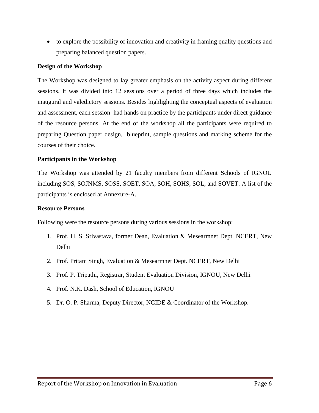to explore the possibility of innovation and creativity in framing quality questions and preparing balanced question papers.

#### **Design of the Workshop**

The Workshop was designed to lay greater emphasis on the activity aspect during different sessions. It was divided into 12 sessions over a period of three days which includes the inaugural and valedictory sessions. Besides highlighting the conceptual aspects of evaluation and assessment, each session had hands on practice by the participants under direct guidance of the resource persons. At the end of the workshop all the participants were required to preparing Question paper design, blueprint, sample questions and marking scheme for the courses of their choice.

#### **Participants in the Workshop**

The Workshop was attended by 21 faculty members from different Schools of IGNOU including SOS, SOJNMS, SOSS, SOET, SOA, SOH, SOHS, SOL, and SOVET. A list of the participants is enclosed at Annexure-A.

#### **Resource Persons**

Following were the resource persons during various sessions in the workshop:

- 1. Prof. H. S. Srivastava, former Dean, Evaluation & Mesearmnet Dept. NCERT, New Delhi
- 2. Prof. Pritam Singh, Evaluation & Mesearmnet Dept. NCERT, New Delhi
- 3. Prof. P. Tripathi, Registrar, Student Evaluation Division, IGNOU, New Delhi
- 4. Prof. N.K. Dash, School of Education, IGNOU
- 5. Dr. O. P. Sharma, Deputy Director, NCIDE & Coordinator of the Workshop.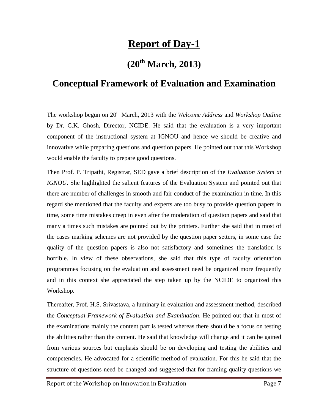# **Report of Day-1**

### **(20th March, 2013)**

#### **Conceptual Framework of Evaluation and Examination**

The workshop begun on 20<sup>th</sup> March, 2013 with the *Welcome Address* and *Workshop Outline* by Dr. C.K. Ghosh, Director, NCIDE. He said that the evaluation is a very important component of the instructional system at IGNOU and hence we should be creative and innovative while preparing questions and question papers. He pointed out that this Workshop would enable the faculty to prepare good questions.

Then Prof. P. Tripathi, Registrar, SED gave a brief description of the *Evaluation System at IGNOU*. She highlighted the salient features of the Evaluation System and pointed out that there are number of challenges in smooth and fair conduct of the examination in time. In this regard she mentioned that the faculty and experts are too busy to provide question papers in time, some time mistakes creep in even after the moderation of question papers and said that many a times such mistakes are pointed out by the printers. Further she said that in most of the cases marking schemes are not provided by the question paper setters, in some case the quality of the question papers is also not satisfactory and sometimes the translation is horrible. In view of these observations, she said that this type of faculty orientation programmes focusing on the evaluation and assessment need be organized more frequently and in this context she appreciated the step taken up by the NCIDE to organized this Workshop.

Thereafter, Prof. H.S. Srivastava, a luminary in evaluation and assessment method, described the *Conceptual Framework of Evaluation and Examination*. He pointed out that in most of the examinations mainly the content part is tested whereas there should be a focus on testing the abilities rather than the content. He said that knowledge will change and it can be gained from various sources but emphasis should be on developing and testing the abilities and competencies. He advocated for a scientific method of evaluation. For this he said that the structure of questions need be changed and suggested that for framing quality questions we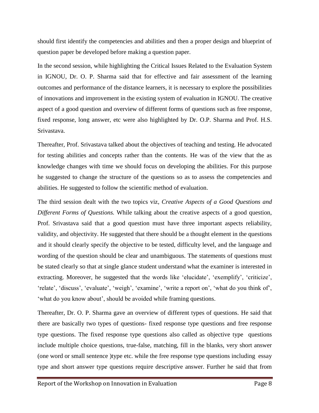should first identify the competencies and abilities and then a proper design and blueprint of question paper be developed before making a question paper.

In the second session, while highlighting the Critical Issues Related to the Evaluation System in IGNOU, Dr. O. P. Sharma said that for effective and fair assessment of the learning outcomes and performance of the distance learners, it is necessary to explore the possibilities of innovations and improvement in the existing system of evaluation in IGNOU. The creative aspect of a good question and overview of different forms of questions such as free response, fixed response, long answer, etc were also highlighted by Dr. O.P. Sharma and Prof. H.S. Srivastava.

Thereafter, Prof. Srivastava talked about the objectives of teaching and testing. He advocated for testing abilities and concepts rather than the contents. He was of the view that the as knowledge changes with time we should focus on developing the abilities. For this purpose he suggested to change the structure of the questions so as to assess the competencies and abilities. He suggested to follow the scientific method of evaluation.

The third session dealt with the two topics viz, *Creative Aspects of a Good Questions and Different Forms of Questions.* While talking about the creative aspects of a good question, Prof. Srivastava said that a good question must have three important aspects reliability, validity, and objectivity. He suggested that there should be a thought element in the questions and it should clearly specify the objective to be tested, difficulty level, and the language and wording of the question should be clear and unambiguous. The statements of questions must be stated clearly so that at single glance student understand what the examiner is interested in extracting. Moreover, he suggested that the words like 'elucidate', 'exemplify', 'criticize', 'relate', 'discuss', 'evaluate', 'weigh', 'examine', 'write a report on', 'what do you think of', 'what do you know about', should be avoided while framing questions.

Thereafter, Dr. O. P. Sharma gave an overview of different types of questions. He said that there are basically two types of questions- fixed response type questions and free response type questions. The fixed response type questions also called as objective type questions include multiple choice questions, true-false, matching, fill in the blanks, very short answer (one word or small sentence )type etc. while the free response type questions including essay type and short answer type questions require descriptive answer. Further he said that from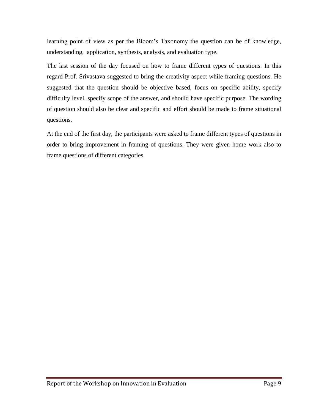learning point of view as per the Bloom's Taxonomy the question can be of knowledge, understanding, application, synthesis, analysis, and evaluation type.

The last session of the day focused on how to frame different types of questions. In this regard Prof. Srivastava suggested to bring the creativity aspect while framing questions. He suggested that the question should be objective based, focus on specific ability, specify difficulty level, specify scope of the answer, and should have specific purpose. The wording of question should also be clear and specific and effort should be made to frame situational questions.

At the end of the first day, the participants were asked to frame different types of questions in order to bring improvement in framing of questions. They were given home work also to frame questions of different categories.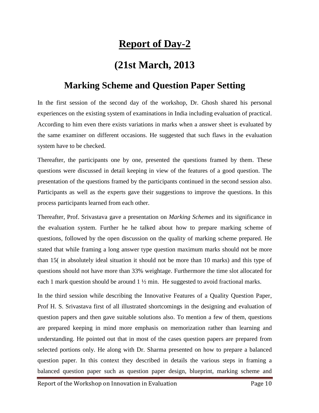# **Report of Day-2**

# **(21st March, 2013**

#### **Marking Scheme and Question Paper Setting**

In the first session of the second day of the workshop, Dr. Ghosh shared his personal experiences on the existing system of examinations in India including evaluation of practical. According to him even there exists variations in marks when a answer sheet is evaluated by the same examiner on different occasions. He suggested that such flaws in the evaluation system have to be checked.

Thereafter, the participants one by one, presented the questions framed by them. These questions were discussed in detail keeping in view of the features of a good question. The presentation of the questions framed by the participants continued in the second session also. Participants as well as the experts gave their suggestions to improve the questions. In this process participants learned from each other.

Thereafter, Prof. Srivastava gave a presentation on *Marking Schemes* and its significance in the evaluation system. Further he he talked about how to prepare marking scheme of questions, followed by the open discussion on the quality of marking scheme prepared. He stated that while framing a long answer type question maximum marks should not be more than 15( in absolutely ideal situation it should not be more than 10 marks) and this type of questions should not have more than 33% weightage. Furthermore the time slot allocated for each 1 mark question should be around  $1 \frac{1}{2}$  min. He suggested to avoid fractional marks.

In the third session while describing the Innovative Features of a Quality Question Paper, Prof H. S. Srivastava first of all illustrated shortcomings in the designing and evaluation of question papers and then gave suitable solutions also. To mention a few of them, questions are prepared keeping in mind more emphasis on memorization rather than learning and understanding. He pointed out that in most of the cases question papers are prepared from selected portions only. He along with Dr. Sharma presented on how to prepare a balanced question paper. In this context they described in details the various steps in framing a balanced question paper such as question paper design, blueprint, marking scheme and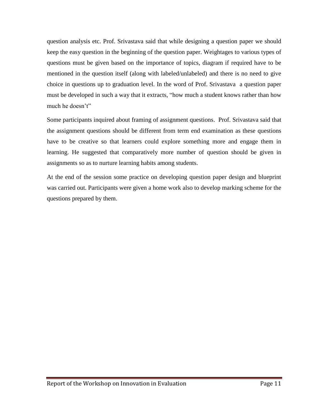question analysis etc. Prof. Srivastava said that while designing a question paper we should keep the easy question in the beginning of the question paper. Weightages to various types of questions must be given based on the importance of topics, diagram if required have to be mentioned in the question itself (along with labeled/unlabeled) and there is no need to give choice in questions up to graduation level. In the word of Prof. Srivastava a question paper must be developed in such a way that it extracts, "how much a student knows rather than how much he doesn't"

Some participants inquired about framing of assignment questions. Prof. Srivastava said that the assignment questions should be different from term end examination as these questions have to be creative so that learners could explore something more and engage them in learning. He suggested that comparatively more number of question should be given in assignments so as to nurture learning habits among students.

At the end of the session some practice on developing question paper design and blueprint was carried out. Participants were given a home work also to develop marking scheme for the questions prepared by them.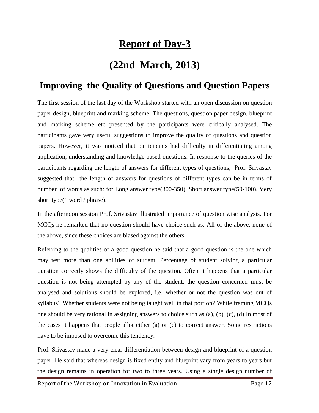# **Report of Day-3**

# **(22nd March, 2013)**

### **Improving the Quality of Questions and Question Papers**

The first session of the last day of the Workshop started with an open discussion on question paper design, blueprint and marking scheme. The questions, question paper design, blueprint and marking scheme etc presented by the participants were critically analysed. The participants gave very useful suggestions to improve the quality of questions and question papers. However, it was noticed that participants had difficulty in differentiating among application, understanding and knowledge based questions. In response to the queries of the participants regarding the length of answers for different types of questions, Prof. Srivastav suggested that the length of answers for questions of different types can be in terms of number of words as such: for Long answer type(300-350), Short answer type(50-100), Very short type(1 word / phrase).

In the afternoon session Prof. Srivastav illustrated importance of question wise analysis. For MCQs he remarked that no question should have choice such as; All of the above, none of the above, since these choices are biased against the others.

Referring to the qualities of a good question he said that a good question is the one which may test more than one abilities of student. Percentage of student solving a particular question correctly shows the difficulty of the question. Often it happens that a particular question is not being attempted by any of the student, the question concerned must be analysed and solutions should be explored, i.e. whether or not the question was out of syllabus? Whether students were not being taught well in that portion? While framing MCQs one should be very rational in assigning answers to choice such as (a), (b), (c), (d) In most of the cases it happens that people allot either (a) or (c) to correct answer. Some restrictions have to be imposed to overcome this tendency.

Prof. Srivastav made a very clear differentiation between design and blueprint of a question paper. He said that whereas design is fixed entity and blueprint vary from years to years but the design remains in operation for two to three years. Using a single design number of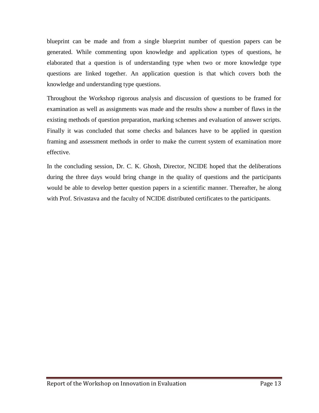blueprint can be made and from a single blueprint number of question papers can be generated. While commenting upon knowledge and application types of questions, he elaborated that a question is of understanding type when two or more knowledge type questions are linked together. An application question is that which covers both the knowledge and understanding type questions.

Throughout the Workshop rigorous analysis and discussion of questions to be framed for examination as well as assignments was made and the results show a number of flaws in the existing methods of question preparation, marking schemes and evaluation of answer scripts. Finally it was concluded that some checks and balances have to be applied in question framing and assessment methods in order to make the current system of examination more effective.

In the concluding session, Dr. C. K. Ghosh, Director, NCIDE hoped that the deliberations during the three days would bring change in the quality of questions and the participants would be able to develop better question papers in a scientific manner. Thereafter, he along with Prof. Srivastava and the faculty of NCIDE distributed certificates to the participants.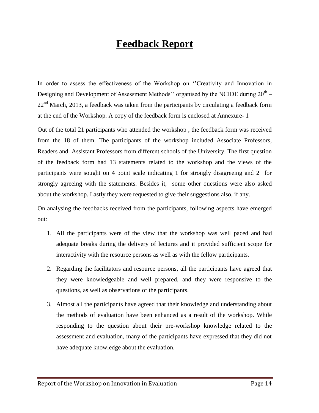# **Feedback Report**

In order to assess the effectiveness of the Workshop on "Creativity and Innovation in Designing and Development of Assessment Methods'' organised by the NCIDE during  $20^{\text{th}}$  –  $22<sup>nd</sup> March, 2013$ , a feedback was taken from the participants by circulating a feedback form at the end of the Workshop. A copy of the feedback form is enclosed at Annexure- 1

Out of the total 21 participants who attended the workshop , the feedback form was received from the 18 of them. The participants of the workshop included Associate Professors, Readers and Assistant Professors from different schools of the University. The first question of the feedback form had 13 statements related to the workshop and the views of the participants were sought on 4 point scale indicating 1 for strongly disagreeing and 2 for strongly agreeing with the statements. Besides it, some other questions were also asked about the workshop. Lastly they were requested to give their suggestions also, if any.

On analysing the feedbacks received from the participants, following aspects have emerged out:

- 1. All the participants were of the view that the workshop was well paced and had adequate breaks during the delivery of lectures and it provided sufficient scope for interactivity with the resource persons as well as with the fellow participants.
- 2. Regarding the facilitators and resource persons, all the participants have agreed that they were knowledgeable and well prepared, and they were responsive to the questions, as well as observations of the participants.
- 3. Almost all the participants have agreed that their knowledge and understanding about the methods of evaluation have been enhanced as a result of the workshop. While responding to the question about their pre-workshop knowledge related to the assessment and evaluation, many of the participants have expressed that they did not have adequate knowledge about the evaluation.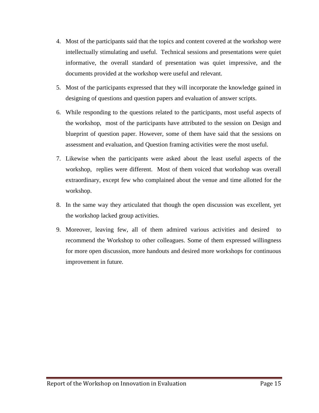- 4. Most of the participants said that the topics and content covered at the workshop were intellectually stimulating and useful. Technical sessions and presentations were quiet informative, the overall standard of presentation was quiet impressive, and the documents provided at the workshop were useful and relevant.
- 5. Most of the participants expressed that they will incorporate the knowledge gained in designing of questions and question papers and evaluation of answer scripts.
- 6. While responding to the questions related to the participants, most useful aspects of the workshop, most of the participants have attributed to the session on Design and blueprint of question paper. However, some of them have said that the sessions on assessment and evaluation, and Question framing activities were the most useful.
- 7. Likewise when the participants were asked about the least useful aspects of the workshop, replies were different. Most of them voiced that workshop was overall extraordinary, except few who complained about the venue and time allotted for the workshop.
- 8. In the same way they articulated that though the open discussion was excellent, yet the workshop lacked group activities.
- 9. Moreover, leaving few, all of them admired various activities and desired to recommend the Workshop to other colleagues. Some of them expressed willingness for more open discussion, more handouts and desired more workshops for continuous improvement in future.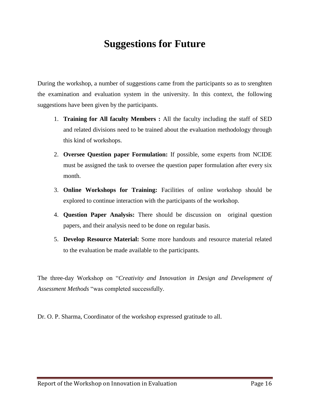# **Suggestions for Future**

During the workshop, a number of suggestions came from the participants so as to srenghten the examination and evaluation system in the university. In this context, the following suggestions have been given by the participants.

- 1. **Training for All faculty Members :** All the faculty including the staff of SED and related divisions need to be trained about the evaluation methodology through this kind of workshops.
- 2. **Oversee Question paper Formulation:** If possible, some experts from NCIDE must be assigned the task to oversee the question paper formulation after every six month.
- 3. **Online Workshops for Training:** Facilities of online workshop should be explored to continue interaction with the participants of the workshop.
- 4. **Question Paper Analysis:** There should be discussion on original question papers, and their analysis need to be done on regular basis.
- 5. **Develop Resource Material:** Some more handouts and resource material related to the evaluation be made available to the participants.

The three-day Workshop on "*Creativity and Innovation in Design and Development of Assessment Methods* "was completed successfully.

Dr. O. P. Sharma, Coordinator of the workshop expressed gratitude to all.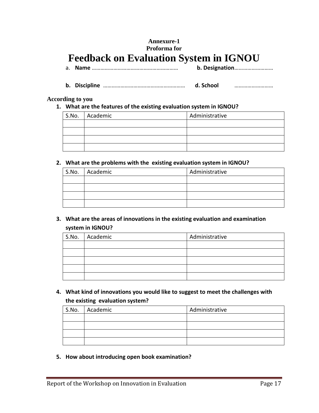#### **Annexure-1 Proforma for Feedback on Evaluation System in IGNOU**

- a. **Name** …………………………………………………… **b. Designation**………………………
- **b. Discipline** ………………………………………………… **d. School** ………………………

#### **According to you**

**1. What are the features of the existing evaluation system in IGNOU?**

| S.No. Academic | Administrative |
|----------------|----------------|
|                |                |
|                |                |
|                |                |
|                |                |

#### **2. What are the problems with the existing evaluation system in IGNOU?**

| S.No. Academic | Administrative |
|----------------|----------------|
|                |                |
|                |                |
|                |                |
|                |                |

#### **3. What are the areas of innovations in the existing evaluation and examination system in IGNOU?**

| S.No. Academic | Administrative |
|----------------|----------------|
|                |                |
|                |                |
|                |                |
|                |                |
|                |                |

**4. What kind of innovations you would like to suggest to meet the challenges with the existing evaluation system?**

| S.No. | Academic | Administrative |
|-------|----------|----------------|
|       |          |                |
|       |          |                |
|       |          |                |
|       |          |                |

**5. How about introducing open book examination?**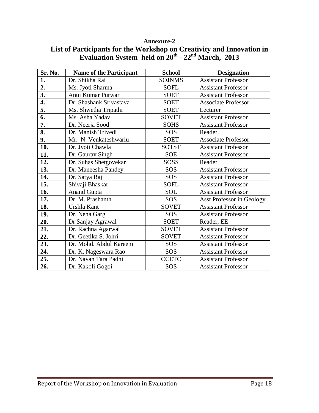| Sr. No.          | <b>Name of the Participant</b> | <b>School</b> | <b>Designation</b>               |
|------------------|--------------------------------|---------------|----------------------------------|
| 1.               | Dr. Shikha Rai                 | <b>SOJNMS</b> | <b>Assistant Professor</b>       |
| $\overline{2}$ . | Ms. Jyoti Sharma               | <b>SOFL</b>   | <b>Assistant Professor</b>       |
| 3.               | Anuj Kumar Purwar              | <b>SOET</b>   | <b>Assistant Professor</b>       |
| 4.               | Dr. Shashank Srivastava        | <b>SOET</b>   | <b>Associate Professor</b>       |
| 5.               | Ms. Shwetha Tripathi           | <b>SOET</b>   | Lecturer                         |
| 6.               | Ms. Asha Yadav                 | <b>SOVET</b>  | Assistant Professor              |
| 7.               | Dr. Neerja Sood                | <b>SOHS</b>   | <b>Assistant Professor</b>       |
| 8.               | Dr. Manish Trivedi             | SOS           | Reader                           |
| 9.               | Mr. N. Venkateshwarlu          | <b>SOET</b>   | <b>Associate Professor</b>       |
| 10.              | Dr. Jyoti Chawla               | <b>SOTST</b>  | <b>Assistant Professor</b>       |
| 11.              | Dr. Gaurav Singh               | <b>SOE</b>    | <b>Assistant Professor</b>       |
| 12.              | Dr. Suhas Shetgovekar          | <b>SOSS</b>   | Reader                           |
| 13.              | Dr. Maneesha Pandey            | SOS           | <b>Assistant Professor</b>       |
| 14.              | Dr. Satya Raj                  | SOS           | <b>Assistant Professor</b>       |
| 15.              | Shivaji Bhaskar                | <b>SOFL</b>   | <b>Assistant Professor</b>       |
| 16.              | <b>Anand Gupta</b>             | <b>SOL</b>    | <b>Assistant Professor</b>       |
| 17.              | Dr. M. Prashanth               | SOS           | <b>Asst Professor in Geology</b> |
| 18.              | Urshla Kant                    | <b>SOVET</b>  | <b>Assistant Professor</b>       |
| 19.              | Dr. Neha Garg                  | SOS           | <b>Assistant Professor</b>       |
| 20.              | Dr Sanjay Agrawal              | <b>SOET</b>   | Reader, EE                       |
| 21.              | Dr. Rachna Agarwal             | <b>SOVET</b>  | <b>Assistant Professor</b>       |
| 22.              | Dr. Geetika S. Johri           | <b>SOVET</b>  | <b>Assistant Professor</b>       |
| 23.              | Dr. Mohd. Abdul Kareem         | SOS           | <b>Assistant Professor</b>       |
| 24.              | Dr. K. Nageswara Rao           | SOS           | <b>Assistant Professor</b>       |
| 25.              | Dr. Nayan Tara Padhi           | <b>CCETC</b>  | <b>Assistant Professor</b>       |
| 26.              | Dr. Kakoli Gogoi               | SOS           | <b>Assistant Professor</b>       |

#### **Annexure-2 List of Participants for the Workshop on Creativity and Innovation in Evaluation System held on 20th - 22nd March, 2013**